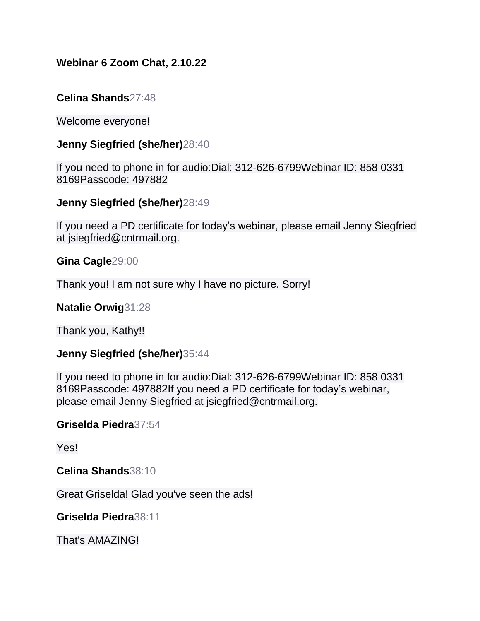# **Webinar 6 Zoom Chat, 2.10.22**

## **Celina Shands**27:48

Welcome everyone!

### **Jenny Siegfried (she/her)**28:40

If you need to phone in for audio:Dial: 312-626-6799Webinar ID: 858 0331 8169Passcode: 497882

### **Jenny Siegfried (she/her)**28:49

If you need a PD certificate for today's webinar, please email Jenny Siegfried at jsiegfried@cntrmail.org.

**Gina Cagle**29:00

Thank you! I am not sure why I have no picture. Sorry!

**Natalie Orwig**31:28

Thank you, Kathy!!

### **Jenny Siegfried (she/her)**35:44

If you need to phone in for audio:Dial: 312-626-6799Webinar ID: 858 0331 8169Passcode: 497882If you need a PD certificate for today's webinar, please email Jenny Siegfried at jsiegfried@cntrmail.org.

### **Griselda Piedra**37:54

Yes!

**Celina Shands**38:10

Great Griselda! Glad you've seen the ads!

**Griselda Piedra**38:11

That's AMAZING!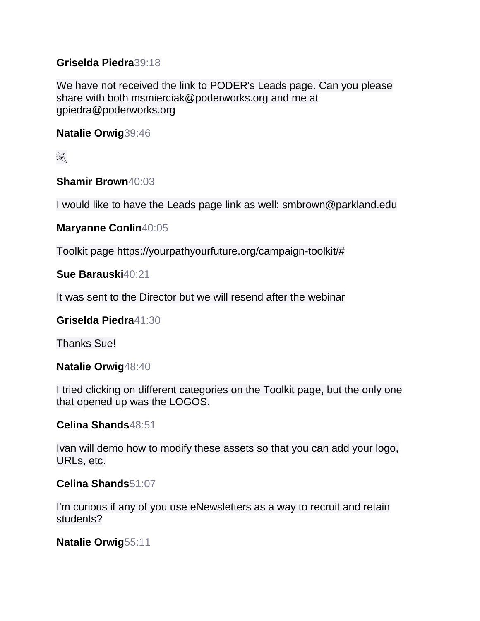## **Griselda Piedra**39:18

We have not received the link to PODER's Leads page. Can you please share with both msmierciak@poderworks.org and me at gpiedra@poderworks.org

**Natalie Orwig**39:46

 $\mathbb{R}^2$ 

**Shamir Brown**40:03

I would like to have the Leads page link as well: smbrown@parkland.edu

**Maryanne Conlin**40:05

Toolkit page https://yourpathyourfuture.org/campaign-toolkit/#

**Sue Barauski**40:21

It was sent to the Director but we will resend after the webinar

**Griselda Piedra**41:30

Thanks Sue!

**Natalie Orwig**48:40

I tried clicking on different categories on the Toolkit page, but the only one that opened up was the LOGOS.

**Celina Shands**48:51

Ivan will demo how to modify these assets so that you can add your logo, URLs, etc.

## **Celina Shands**51:07

I'm curious if any of you use eNewsletters as a way to recruit and retain students?

**Natalie Orwig**55:11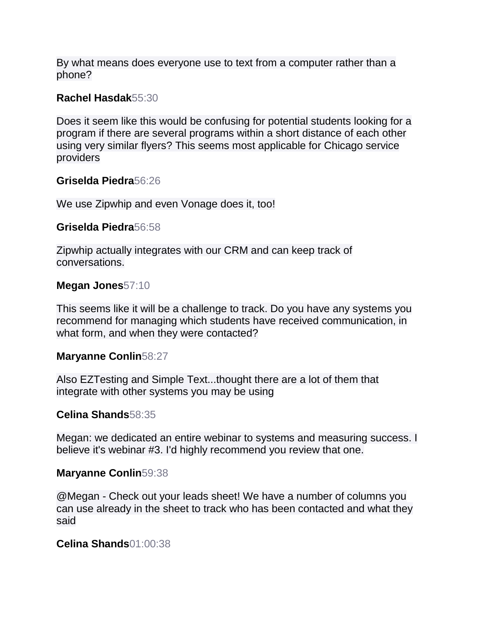By what means does everyone use to text from a computer rather than a phone?

### **Rachel Hasdak**55:30

Does it seem like this would be confusing for potential students looking for a program if there are several programs within a short distance of each other using very similar flyers? This seems most applicable for Chicago service providers

### **Griselda Piedra**56:26

We use Zipwhip and even Vonage does it, too!

### **Griselda Piedra**56:58

Zipwhip actually integrates with our CRM and can keep track of conversations.

### **Megan Jones**57:10

This seems like it will be a challenge to track. Do you have any systems you recommend for managing which students have received communication, in what form, and when they were contacted?

### **Maryanne Conlin**58:27

Also EZTesting and Simple Text...thought there are a lot of them that integrate with other systems you may be using

### **Celina Shands**58:35

Megan: we dedicated an entire webinar to systems and measuring success. I believe it's webinar #3. I'd highly recommend you review that one.

### **Maryanne Conlin**59:38

@Megan - Check out your leads sheet! We have a number of columns you can use already in the sheet to track who has been contacted and what they said

### **Celina Shands**01:00:38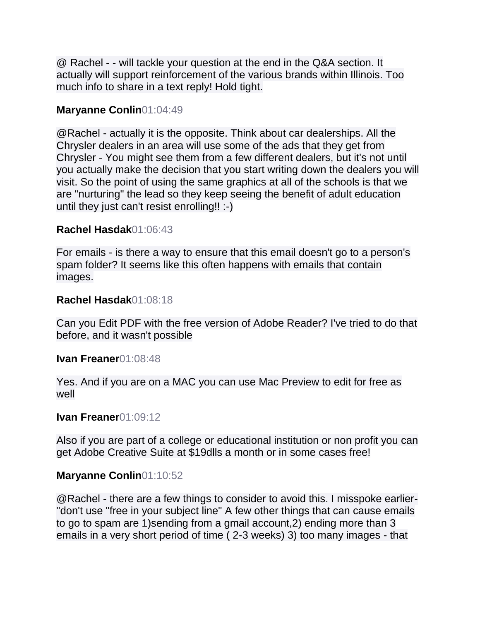@ Rachel - - will tackle your question at the end in the Q&A section. It actually will support reinforcement of the various brands within Illinois. Too much info to share in a text reply! Hold tight.

## **Maryanne Conlin**01:04:49

@Rachel - actually it is the opposite. Think about car dealerships. All the Chrysler dealers in an area will use some of the ads that they get from Chrysler - You might see them from a few different dealers, but it's not until you actually make the decision that you start writing down the dealers you will visit. So the point of using the same graphics at all of the schools is that we are "nurturing" the lead so they keep seeing the benefit of adult education until they just can't resist enrolling!! :-)

## **Rachel Hasdak**01:06:43

For emails - is there a way to ensure that this email doesn't go to a person's spam folder? It seems like this often happens with emails that contain images.

### **Rachel Hasdak**01:08:18

Can you Edit PDF with the free version of Adobe Reader? I've tried to do that before, and it wasn't possible

### **Ivan Freaner**01:08:48

Yes. And if you are on a MAC you can use Mac Preview to edit for free as well

### **Ivan Freaner**01:09:12

Also if you are part of a college or educational institution or non profit you can get Adobe Creative Suite at \$19dlls a month or in some cases free!

## **Maryanne Conlin**01:10:52

@Rachel - there are a few things to consider to avoid this. I misspoke earlier- "don't use "free in your subject line" A few other things that can cause emails to go to spam are 1)sending from a gmail account,2) ending more than 3 emails in a very short period of time ( 2-3 weeks) 3) too many images - that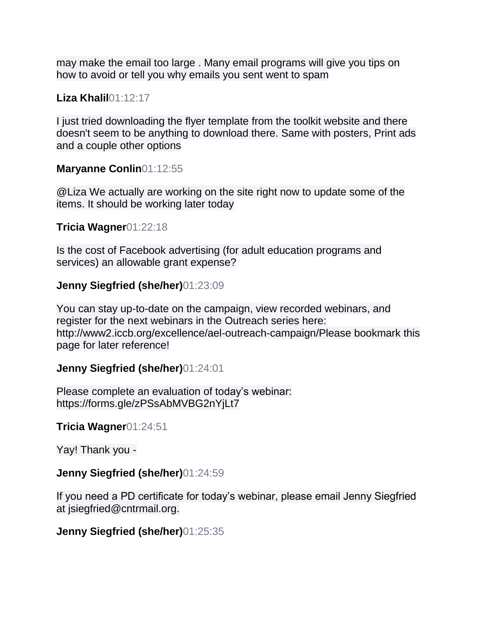may make the email too large . Many email programs will give you tips on how to avoid or tell you why emails you sent went to spam

## **Liza Khalil**01:12:17

I just tried downloading the flyer template from the toolkit website and there doesn't seem to be anything to download there. Same with posters, Print ads and a couple other options

### **Maryanne Conlin**01:12:55

@Liza We actually are working on the site right now to update some of the items. It should be working later today

#### **Tricia Wagner**01:22:18

Is the cost of Facebook advertising (for adult education programs and services) an allowable grant expense?

### **Jenny Siegfried (she/her)**01:23:09

You can stay up-to-date on the campaign, view recorded webinars, and register for the next webinars in the Outreach series here: http://www2.iccb.org/excellence/ael-outreach-campaign/Please bookmark this page for later reference!

### **Jenny Siegfried (she/her)**01:24:01

Please complete an evaluation of today's webinar: https://forms.gle/zPSsAbMVBG2nYjLt7

**Tricia Wagner**01:24:51

Yay! Thank you -

### **Jenny Siegfried (she/her)**01:24:59

If you need a PD certificate for today's webinar, please email Jenny Siegfried at jsiegfried@cntrmail.org.

### **Jenny Siegfried (she/her)**01:25:35